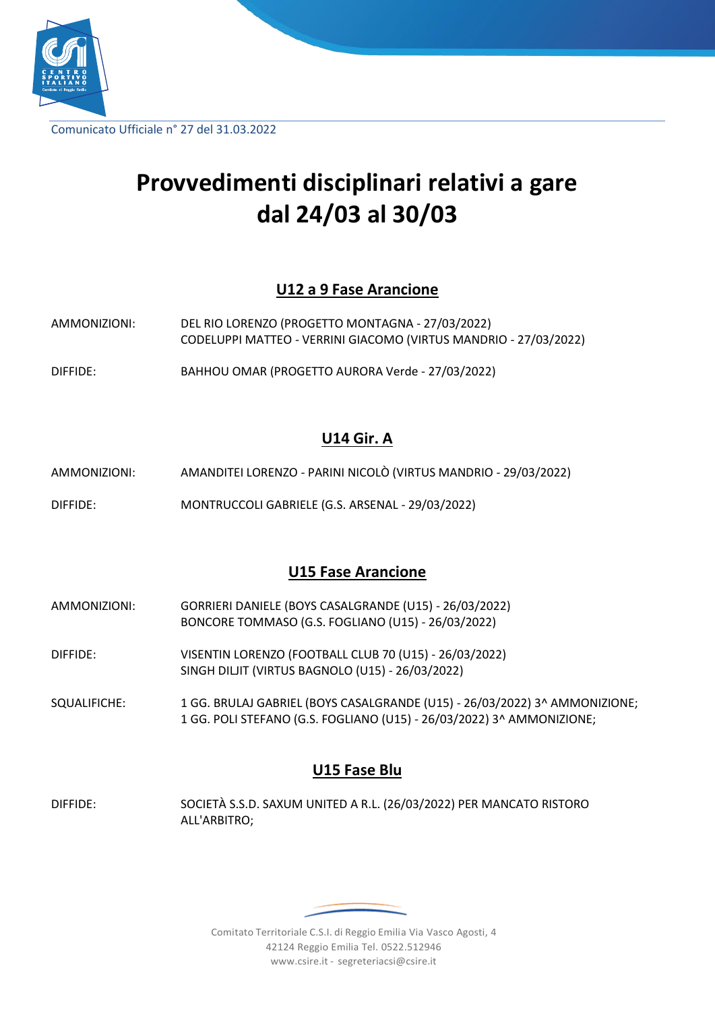

Comunicato Ufficiale n° 27 del 31.03.2022

# **Provvedimenti disciplinari relativi a gare dal 24/03 al 30/03**

#### **U12 a 9 Fase Arancione**

- AMMONIZIONI: DEL RIO LORENZO (PROGETTO MONTAGNA 27/03/2022) CODELUPPI MATTEO - VERRINI GIACOMO (VIRTUS MANDRIO - 27/03/2022)
- DIFFIDE: BAHHOU OMAR (PROGETTO AURORA Verde 27/03/2022)

### **U14 Gir. A**

- AMMONIZIONI: AMANDITEI LORENZO PARINI NICOLÒ (VIRTUS MANDRIO 29/03/2022)
- DIFFIDE: MONTRUCCOLI GABRIELE (G.S. ARSENAL 29/03/2022)

#### **U15 Fase Arancione**

- AMMONIZIONI: GORRIERI DANIELE (BOYS CASALGRANDE (U15) 26/03/2022) BONCORE TOMMASO (G.S. FOGLIANO (U15) - 26/03/2022)
- DIFFIDE: VISENTIN LORENZO (FOOTBALL CLUB 70 (U15) 26/03/2022) SINGH DILJIT (VIRTUS BAGNOLO (U15) - 26/03/2022)

SQUALIFICHE: 1 GG. BRULAJ GABRIEL (BOYS CASALGRANDE (U15) - 26/03/2022) 3^ AMMONIZIONE; 1 GG. POLI STEFANO (G.S. FOGLIANO (U15) - 26/03/2022) 3^ AMMONIZIONE;

#### **U15 Fase Blu**

DIFFIDE: SOCIETÀ S.S.D. SAXUM UNITED A R.L. (26/03/2022) PER MANCATO RISTORO ALL'ARBITRO;

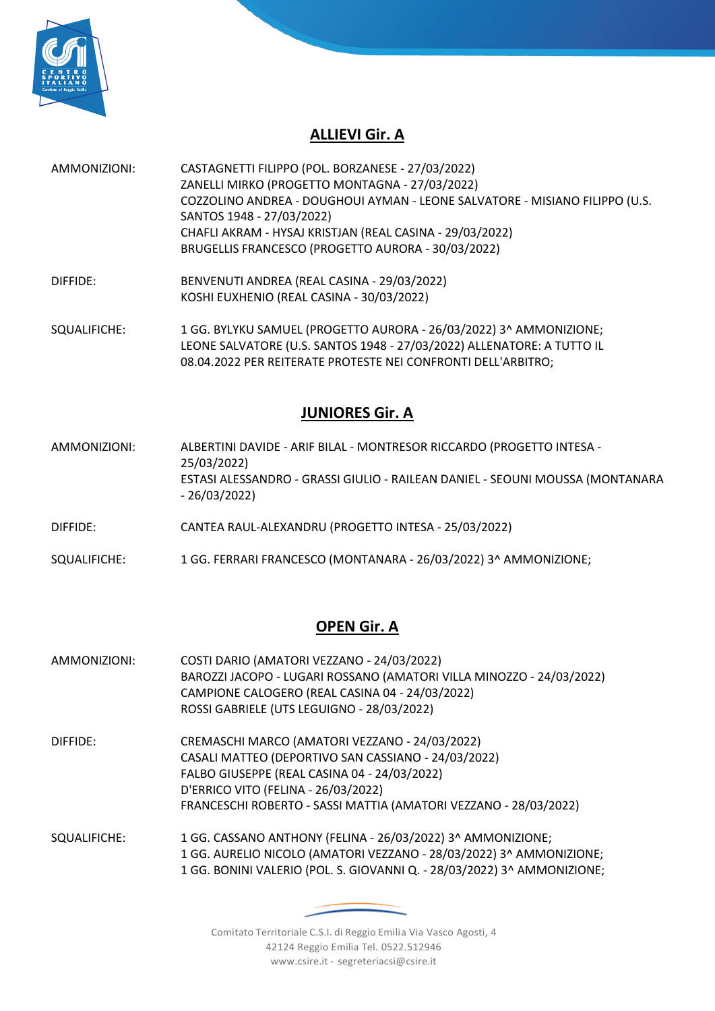

## **ALLIEVI Gir. A**

- AMMONIZIONI: CASTAGNETTI FILIPPO (POL. BORZANESE 27/03/2022) ZANELLI MIRKO (PROGETTO MONTAGNA - 27/03/2022) COZZOLINO ANDREA - DOUGHOUI AYMAN - LEONE SALVATORE - MISIANO FILIPPO (U.S. SANTOS 1948 - 27/03/2022) CHAFLI AKRAM - HYSAJ KRISTJAN (REAL CASINA - 29/03/2022) BRUGELLIS FRANCESCO (PROGETTO AURORA - 30/03/2022)
- DIFFIDE: BENVENUTI ANDREA (REAL CASINA 29/03/2022) KOSHI EUXHENIO (REAL CASINA - 30/03/2022)

SQUALIFICHE: 1 GG. BYLYKU SAMUEL (PROGETTO AURORA - 26/03/2022) 3^ AMMONIZIONE; LEONE SALVATORE (U.S. SANTOS 1948 - 27/03/2022) ALLENATORE: A TUTTO IL 08.04.2022 PER REITERATE PROTESTE NEI CONFRONTI DELL'ARBITRO;

### **JUNIORES Gir. A**

- AMMONIZIONI: ALBERTINI DAVIDE ARIF BILAL MONTRESOR RICCARDO (PROGETTO INTESA 25/03/2022) ESTASI ALESSANDRO - GRASSI GIULIO - RAILEAN DANIEL - SEOUNI MOUSSA (MONTANARA - 26/03/2022)
- DIFFIDE: CANTEA RAUL-ALEXANDRU (PROGETTO INTESA 25/03/2022)
- SQUALIFICHE: 1 GG. FERRARI FRANCESCO (MONTANARA 26/03/2022) 3^ AMMONIZIONE;

#### **OPEN Gir. A**

- AMMONIZIONI: COSTI DARIO (AMATORI VEZZANO 24/03/2022) BAROZZI JACOPO - LUGARI ROSSANO (AMATORI VILLA MINOZZO - 24/03/2022) CAMPIONE CALOGERO (REAL CASINA 04 - 24/03/2022) ROSSI GABRIELE (UTS LEGUIGNO - 28/03/2022)
- DIFFIDE: CREMASCHI MARCO (AMATORI VEZZANO 24/03/2022) CASALI MATTEO (DEPORTIVO SAN CASSIANO - 24/03/2022) FALBO GIUSEPPE (REAL CASINA 04 - 24/03/2022) D'ERRICO VITO (FELINA - 26/03/2022) FRANCESCHI ROBERTO - SASSI MATTIA (AMATORI VEZZANO - 28/03/2022)
- SQUALIFICHE: 1 GG. CASSANO ANTHONY (FELINA 26/03/2022) 3^ AMMONIZIONE; 1 GG. AURELIO NICOLO (AMATORI VEZZANO - 28/03/2022) 3^ AMMONIZIONE; 1 GG. BONINI VALERIO (POL. S. GIOVANNI Q. - 28/03/2022) 3^ AMMONIZIONE;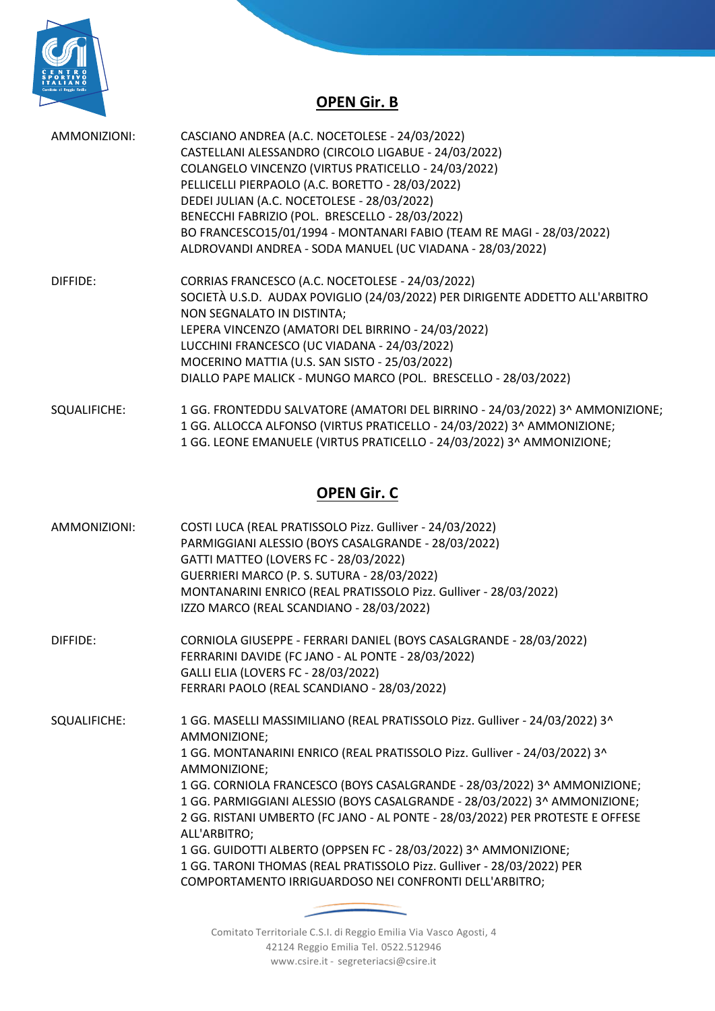

## **OPEN Gir. B**

| CASCIANO ANDREA (A.C. NOCETOLESE - 24/03/2022)                               |
|------------------------------------------------------------------------------|
| CASTELLANI ALESSANDRO (CIRCOLO LIGABUE - 24/03/2022)                         |
| COLANGELO VINCENZO (VIRTUS PRATICELLO - 24/03/2022)                          |
| PELLICELLI PIERPAOLO (A.C. BORETTO - 28/03/2022)                             |
| DEDEI JULIAN (A.C. NOCETOLESE - 28/03/2022)                                  |
| BENECCHI FABRIZIO (POL. BRESCELLO - 28/03/2022)                              |
| BO FRANCESCO15/01/1994 - MONTANARI FABIO (TEAM RE MAGI - 28/03/2022)         |
| ALDROVANDI ANDREA - SODA MANUEL (UC VIADANA - 28/03/2022)                    |
| CORRIAS FRANCESCO (A.C. NOCETOLESE - 24/03/2022)                             |
| SOCIETÀ U.S.D. AUDAX POVIGLIO (24/03/2022) PER DIRIGENTE ADDETTO ALL'ARBITRO |
| NON SEGNALATO IN DISTINTA;                                                   |
| LEPERA VINCENZO (AMATORI DEL BIRRINO - 24/03/2022)                           |
| LUCCHINI FRANCESCO (UC VIADANA - 24/03/2022)                                 |
| MOCERINO MATTIA (U.S. SAN SISTO - 25/03/2022)                                |
| DIALLO PAPE MALICK - MUNGO MARCO (POL. BRESCELLO - 28/03/2022)               |
|                                                                              |
|                                                                              |

SQUALIFICHE: 1 GG. FRONTEDDU SALVATORE (AMATORI DEL BIRRINO - 24/03/2022) 3^ AMMONIZIONE; 1 GG. ALLOCCA ALFONSO (VIRTUS PRATICELLO - 24/03/2022) 3^ AMMONIZIONE; 1 GG. LEONE EMANUELE (VIRTUS PRATICELLO - 24/03/2022) 3^ AMMONIZIONE;

## **OPEN Gir. C**

| AMMONIZIONI: | COSTI LUCA (REAL PRATISSOLO Pizz. Gulliver - 24/03/2022)                                      |
|--------------|-----------------------------------------------------------------------------------------------|
|              | PARMIGGIANI ALESSIO (BOYS CASALGRANDE - 28/03/2022)                                           |
|              | GATTI MATTEO (LOVERS FC - 28/03/2022)                                                         |
|              | GUERRIERI MARCO (P. S. SUTURA - 28/03/2022)                                                   |
|              | MONTANARINI ENRICO (REAL PRATISSOLO Pizz. Gulliver - 28/03/2022)                              |
|              | IZZO MARCO (REAL SCANDIANO - 28/03/2022)                                                      |
| DIFFIDE:     | CORNIOLA GIUSEPPE - FERRARI DANIEL (BOYS CASALGRANDE - 28/03/2022)                            |
|              | FERRARINI DAVIDE (FC JANO - AL PONTE - 28/03/2022)                                            |
|              | GALLI ELIA (LOVERS FC - 28/03/2022)                                                           |
|              | FERRARI PAOLO (REAL SCANDIANO - 28/03/2022)                                                   |
| SQUALIFICHE: | 1 GG. MASELLI MASSIMILIANO (REAL PRATISSOLO Pizz. Gulliver - 24/03/2022) 3^<br>AMMONIZIONE;   |
|              | 1 GG. MONTANARINI ENRICO (REAL PRATISSOLO Pizz. Gulliver - 24/03/2022) 3^<br>AMMONIZIONE;     |
|              | 1 GG. CORNIOLA FRANCESCO (BOYS CASALGRANDE - 28/03/2022) 3^ AMMONIZIONE;                      |
|              | 1 GG. PARMIGGIANI ALESSIO (BOYS CASALGRANDE - 28/03/2022) 3^ AMMONIZIONE;                     |
|              | 2 GG. RISTANI UMBERTO (FC JANO - AL PONTE - 28/03/2022) PER PROTESTE E OFFESE<br>ALL'ARBITRO; |
|              | 1 GG. GUIDOTTI ALBERTO (OPPSEN FC - 28/03/2022) 3^ AMMONIZIONE;                               |
|              | 1 GG. TARONI THOMAS (REAL PRATISSOLO Pizz. Gulliver - 28/03/2022) PER                         |
|              | COMPORTAMENTO IRRIGUARDOSO NEI CONFRONTI DELL'ARBITRO;                                        |
|              |                                                                                               |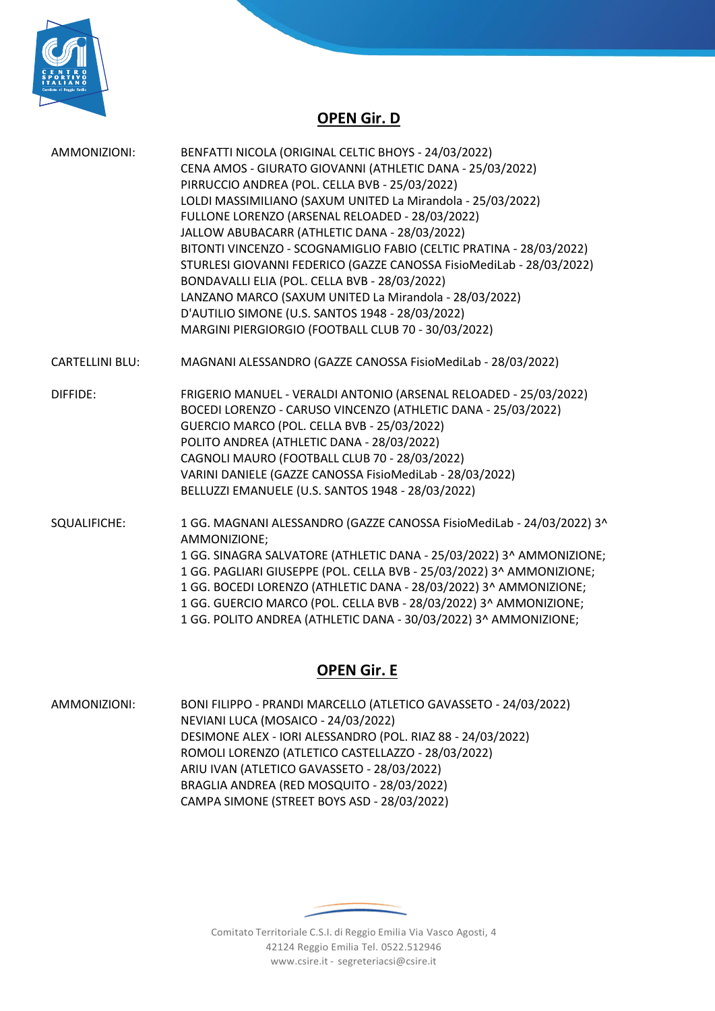

## **OPEN Gir. D**

| AMMONIZIONI:           | BENFATTI NICOLA (ORIGINAL CELTIC BHOYS - 24/03/2022)<br>CENA AMOS - GIURATO GIOVANNI (ATHLETIC DANA - 25/03/2022)<br>PIRRUCCIO ANDREA (POL. CELLA BVB - 25/03/2022)<br>LOLDI MASSIMILIANO (SAXUM UNITED La Mirandola - 25/03/2022)<br>FULLONE LORENZO (ARSENAL RELOADED - 28/03/2022)<br>JALLOW ABUBACARR (ATHLETIC DANA - 28/03/2022)<br>BITONTI VINCENZO - SCOGNAMIGLIO FABIO (CELTIC PRATINA - 28/03/2022)<br>STURLESI GIOVANNI FEDERICO (GAZZE CANOSSA FisioMediLab - 28/03/2022)<br>BONDAVALLI ELIA (POL. CELLA BVB - 28/03/2022)<br>LANZANO MARCO (SAXUM UNITED La Mirandola - 28/03/2022)<br>D'AUTILIO SIMONE (U.S. SANTOS 1948 - 28/03/2022)<br>MARGINI PIERGIORGIO (FOOTBALL CLUB 70 - 30/03/2022) |
|------------------------|-------------------------------------------------------------------------------------------------------------------------------------------------------------------------------------------------------------------------------------------------------------------------------------------------------------------------------------------------------------------------------------------------------------------------------------------------------------------------------------------------------------------------------------------------------------------------------------------------------------------------------------------------------------------------------------------------------------|
| <b>CARTELLINI BLU:</b> | MAGNANI ALESSANDRO (GAZZE CANOSSA FisioMediLab - 28/03/2022)                                                                                                                                                                                                                                                                                                                                                                                                                                                                                                                                                                                                                                                |
| DIFFIDE:               | FRIGERIO MANUEL - VERALDI ANTONIO (ARSENAL RELOADED - 25/03/2022)<br>BOCEDI LORENZO - CARUSO VINCENZO (ATHLETIC DANA - 25/03/2022)<br>GUERCIO MARCO (POL. CELLA BVB - 25/03/2022)<br>POLITO ANDREA (ATHLETIC DANA - 28/03/2022)<br>CAGNOLI MAURO (FOOTBALL CLUB 70 - 28/03/2022)<br>VARINI DANIELE (GAZZE CANOSSA FisioMediLab - 28/03/2022)<br>BELLUZZI EMANUELE (U.S. SANTOS 1948 - 28/03/2022)                                                                                                                                                                                                                                                                                                           |
| SQUALIFICHE:           | 1 GG. MAGNANI ALESSANDRO (GAZZE CANOSSA FisioMediLab - 24/03/2022) 3^<br>AMMONIZIONE;<br>1 GG. SINAGRA SALVATORE (ATHLETIC DANA - 25/03/2022) 3^ AMMONIZIONE;<br>1 GG. PAGLIARI GIUSEPPE (POL. CELLA BVB - 25/03/2022) 3^ AMMONIZIONE;<br>1 GG. BOCEDI LORENZO (ATHLETIC DANA - 28/03/2022) 3^ AMMONIZIONE;<br>1 GG. GUERCIO MARCO (POL. CELLA BVB - 28/03/2022) 3^ AMMONIZIONE;<br>1 GG. POLITO ANDREA (ATHLETIC DANA - 30/03/2022) 3^ AMMONIZIONE;                                                                                                                                                                                                                                                        |

## **OPEN Gir. E**

AMMONIZIONI: BONI FILIPPO - PRANDI MARCELLO (ATLETICO GAVASSETO - 24/03/2022) NEVIANI LUCA (MOSAICO - 24/03/2022) DESIMONE ALEX - IORI ALESSANDRO (POL. RIAZ 88 - 24/03/2022) ROMOLI LORENZO (ATLETICO CASTELLAZZO - 28/03/2022) ARIU IVAN (ATLETICO GAVASSETO - 28/03/2022) BRAGLIA ANDREA (RED MOSQUITO - 28/03/2022) CAMPA SIMONE (STREET BOYS ASD - 28/03/2022)